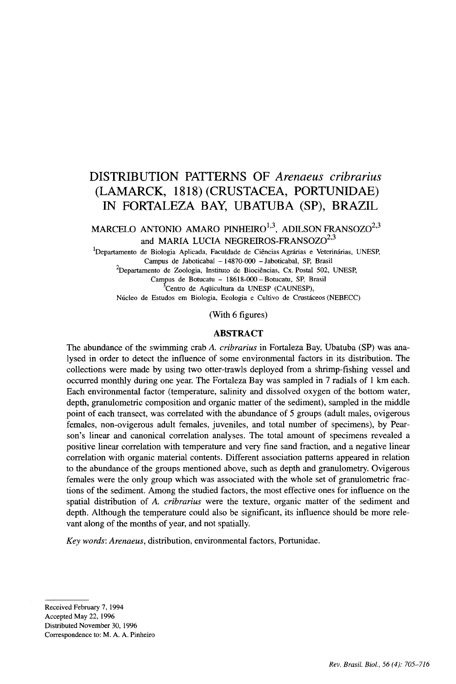# DISTRIBUTION PATTERNS OF *Arenaeus cribrarius* (LAMARCK, 1818) (CRUSTACEA, PORTUNIDAE) IN FORTALEZA BAY, UBATUBA (SP), BRAZIL

MARCELO ANTONIO AMARO PINHEIRO $^{1,3}, \;$  ADILSON FRANSOZO $^{2,3}$ and MARIA LUCIA NEGREIROS-FRANSOZO<sup>2,3</sup>

<sup>1</sup>Departamento de Biologia Aplicada, Faculdade de Ciências Agrárias e Veterinárias, UNESP, Campus de Iaboticabal - 14870-000 - Iaboticabal, SP, Brasil

<sup>2</sup>Departamento de Zoologia, Instituto de Biociências, Cx. Postal 502, UNESP,

Campus de Botucatu - 18618-000 - Botucatu, SP, Brasil <sup>3</sup>Centro de Aquicultura da UNESP (CAUNESP),

Núcleo de Estudos em Biologia, Ecologia e Cultivo de Crustáceos (NEBECC)

(With 6 figures)

#### ABSTRACT

The abundance of the swimming crab A. *cribrarius* in Fortaleza Bay, Ubatuba (SP) was analysed in order to detect the influence of some environmental factors in its distribution. The collections were made by using two otter-trawls deployed from a shrimp-fishing vessel and occurred monthly during one year. The Fortaleza Bay was sampled in 7 radials of 1 km each. Each environmental factor (temperature, salinity and dissolved oxygen of the bottom water, depth, granulometric composition and organic matter of the sediment), sampled in the middle point of each transect, was correlated with the abundance of 5 groups (adult males, ovigerous females, non-ovigerous adult females, juveniles, and total number of specimens), by Pearson's linear and canonical correlation analyses. The total amount of specimens revealed a positive linear correlation with temperature and very fine sand fraction, and a negative linear correlation with organic material contents. Different association patterns appeared in relation to the abundance of the groups mentioned above, such as depth and granulometry. Ovigerous females were the only group which was associated with the whole set of granulometric fractions of the sediment. Among the studied factors, the most effective ones for influence on the spatial distribution of A. *cribrarius* were the texture, organic matter of the sediment and depth. Although the temperature could also be significant, its influence should be more relevant along of the months of year, and not spatially.

*Key words: Arenaeus,* distribution, environmental factors, Portunidae.

Received February 7, 1994 Accepted May 22, 1996 Distributed November 30, 1996 Correspondence to: M. A. A. Pinheiro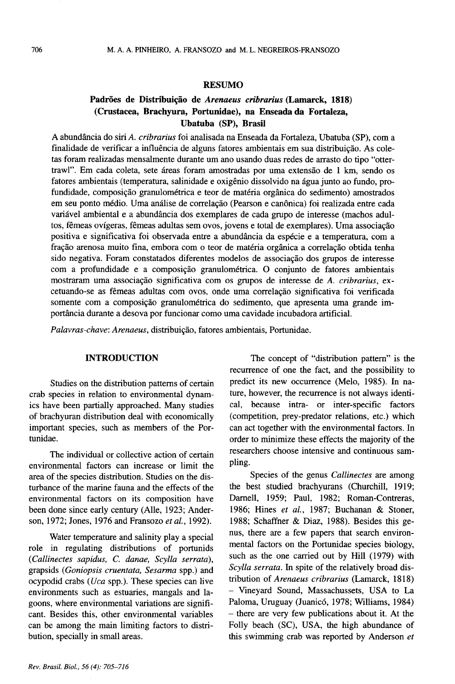#### RESUMO

### Padrões de Distribuição de *Arenaeus cribrarius* (Lamarck, 1818) (Crustacea, Brachyura, Portunidae), na Enseada da Fortaleza, Ubatuba (SP), Brasil

A abundância do siri A. *cribrarius* foi analisada na Enseada da Fortaleza, Ubatuba (SP), com a finalidade de verificar a influência de alguns fatores ambientais em sua distribuição. As coletas foram realizadas mensalmente durante um ano usando duas redes de arrasto do tipo "ottertrawl". Em cada coleta, sete áreas foram amostradas por uma extensão de 1 km, sendo os fatores ambientais (temperatura, salinidade e oxigenio dissolvido na agua junto ao fundo, profundidade, composição granulométrica e teor de matéria orgânica do sedimento) amostrados em seu ponto médio. Uma análise de correlação (Pearson e canônica) foi realizada entre cada variável ambiental e a abundância dos exemplares de cada grupo de interesse (machos adultos, fêmeas ovígeras, fêmeas adultas sem ovos, jovens e total de exemplares). Uma associação positiva e significativa foi observada entre a abundância da espécie e a temperatura, com a fração arenosa muito fina, embora com o teor de matéria orgânica a correlação obtida tenha sido negativa. Foram constatados diferentes modelos de associação dos grupos de interesse com a profundidade e a composição granulométrica. O conjunto de fatores ambientais mostraram uma associação significativa com os grupos de interesse de A. *cribrarius*, excetuando-se as fêmeas adultas com ovos, onde uma correlação significativa foi verificada somente com a composição granulométrica do sedimento, que apresenta uma grande importância durante a desova por funcionar como uma cavidade incubadora artificial.

Palavras-chave: Arenaeus, distribuição, fatores ambientais, Portunidae.

#### INTRODUCTION

Studies on the distribution patterns of certain crab species in relation to environmental dynamics have been partially approached. Many studies of brachyuran distribution deal with economically important species, such as members of the Portunidae.

The individual or collective action of certain environmental factors can increase or limit the area of the species distribution. Studies on the disturbance of the marine fauna and the effects of the environmental factors on its composition have been done since early century (Alle, 1923; Anderson, 1972; Jones, 1976 and Fransozo *et ai.,* 1992).

Water temperature and salinity play a special role in regulating distributions of portunids *(Callinectes sapidus,* C. *danae, Scylla serrata),* grapsids *(Goniopsis cruentata, Sesarma* spp.) and ocypodid crabs *(Uca* spp.). These species can live environments such as estuaries, mangals and lagoons, where environmental variations are significant. Besides this, other environmental variables can be among the main limiting factors to distribution, specially in small areas.

The concept of "distribution pattern" is the recurrence of one the fact, and the possibility to predict its new occurrence (Melo, 1985). In nature, however, the recurrence is not always identical, because intra- or inter-specific factors (competition, prey-predator relations, etc.) which can act together with the environmental factors. In order to minimize these effects the majority of the researchers choose intensive and continuous sampling.

Species of the genus *Callinectes* are among the best studied brachyurans (Churchill, 1919; Darnell, 1959; Paul, 1982; Roman-Contreras, 1986; Hines *et ai.,* 1987; Buchanan & Stoner, 1988; Schaffner & Diaz, 1988). Besides this genus, there are a few papers that search environmental factors on the Portunidae species biology, such as the one carried out by Hill (1979) with *Scylla serrata.* In spite of the relatively broad distribution of *Arenaeus cribrarius* (Lamarck, 1818) - Vineyard Sound, Massachussets, USA to La Paloma, Uruguay (Juanicó, 1978; Williams, 1984) - there are very few publications about it. At the Folly beach (SC), USA, the high abundance of this swimming crab was reported by Anderson *et*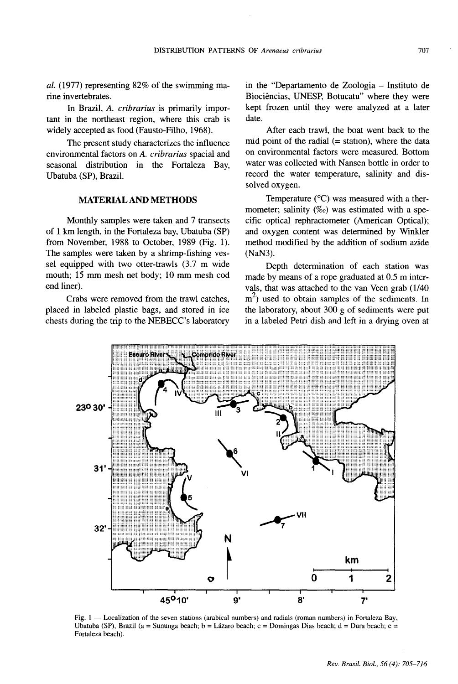al. (1977) representing  $82\%$  of the swimming marine invertebrates.

In Brazil, A. *cribrarius* is primarily important in the northeast region, where this crab is widely accepted as food (Fausto-Filho, 1968).

The present study characterizes the influence environmental factors on A. *cribrarius* spacial and seasonal distribution in the Fortaleza Bay, Ubatuba (SP), Brazil.

#### MATERIAL AND **METHODS**

Monthly samples were taken and 7 transects of 1 km length, in the Fortaleza bay, Ubatuba (SP) from November, 1988 to October, 1989 (Fig. 1). The samples were taken by a shrimp-fishing vessel equipped with two otter-trawls (3.7 m wide mouth; 15 mm mesh net body; 10 mm mesh cod end liner).

Crabs were removed from the trawl catches, placed in labeled plastic bags, and stored in ice chests during the trip to the NEBECC's laboratory in the "Departamento de Zoologia - Instituto de Biociências, UNESP, Botucatu" where they were kept frozen until they were analyzed at a later date.

After each trawl, the boat went back to the mid point of the radial  $(= station)$ , where the data on environmental factors were measured. Bottom water was collected with Nansen bottle in order to record the water temperature, salinity and dissolved oxygen.

Temperature  $(^{\circ}C)$  was measured with a thermometer; salinity  $(\%_0)$  was estimated with a specific optical rephractometer (American Optical); and oxygen content was determined by Winkler method modified by the addition of sodium azide (NaN3).

Depth determination of each station was made by means of a rope graduated at 0.5 m intervals, that was attached to the van Veen grab (1140  $m<sup>2</sup>$ ) used to obtain samples of the sediments. In the laboratory, about 300 g of sediments were put in a labeled Petri dish and left in a drying oven at



Fig. 1 - Localization of the seven stations (arabical numbers) and radials (roman numbers) in Fortaleza Bay, Ubatuba (SP), Brazil (a = Sununga beach; b = Lázaro beach; c = Domingas Dias beach; d = Dura beach; e = Fortaleza beach).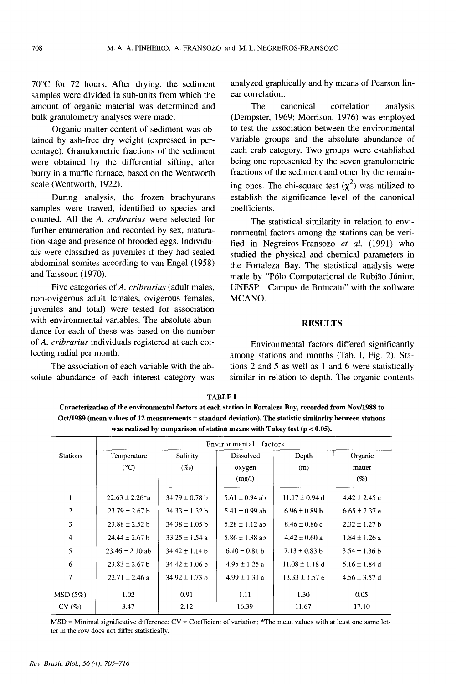70°C for 72 hours. After drying, the sediment samples were divided in sub-units from which the amount of organic material was determined and bulk granulometry analyses were made.

Organic matter content of sediment was obtained by ash-free dry weight (expressed in percentage). Granulometric fractions of the sediment were obtained by the differential sifting, after burry in a muffle furnace, based on the Wentworth scale (Wentworth, 1922).

During analysis, the frozen brachyurans samples were trawed, identified to species and counted. All the *A. eribrarius* were selected for further enumeration and recorded by sex, maturation stage and presence of brooded eggs. Individuals were classified as juveniles if they had sealed abdominal somites according to van Engel (1958) and Taissoun (1970).

Five categories of*A. cribrarius* (adult males, non-ovigerous adult females, ovigerous females, juveniles and total) were tested for association with environmental variables. The absolute abundance for each of these was based on the number of *A. eribrarius* individuals registered at each collecting radial per month.

The association of each variable with the absolute abundance of each interest category was analyzed graphically and by means of Pearson linear correlation.

The canonical correlation analysis (Dempster, 1969; Morrison, 1976) was employed to test the association between the environmental variable groups and the absolute abundance of each crab category. Two groups were established being one represented by the seven granulometric fractions of the sediment and other by the remaining ones. The chi-square test  $(\chi^2)$  was utilized to establish the significance level of the canonical coefficients.

The statistical similarity in relation to environmental factors among the stations can be verified in Negreiros-Fransozo *et al.* (1991) who studied the physical and chemical parameters in the Fortaleza Bay. The statistical analysis were made by "Pólo Computacional de Rubião Júnior, UNESP - Campus de Botucatu" with the software MCANO.

#### **RESULTS**

Environmental factors differed significantly among stations and months (Tab. I, Fig. 2). Stations 2 and 5 as well as 1 and 6 were statistically similar in relation to depth. The organic contents

TABLE I Caracterization ofthe environmental factors at each station in Fortaleza Bay, recorded from Nov/I988 to Oct/1989 (mean values of 12 measurements ±standard deviation). The statistic similarity between stations was realized by comparison of station means with Tukey test ( $p < 0.05$ ).

|                 | Environmental factors |                    |                    |                    |                   |  |  |  |
|-----------------|-----------------------|--------------------|--------------------|--------------------|-------------------|--|--|--|
| <b>Stations</b> | Temperature           | Salinity           | Dissolved          | Depth              | Organic           |  |  |  |
|                 | $(^{\circ}C)$         | $(\%o)$            | oxygen             | (m)                | matter            |  |  |  |
|                 |                       |                    | (mg/l)             |                    | (%)               |  |  |  |
|                 | $22.63 \pm 2.26$ *a   | $34.79 \pm 0.78$ b | 5.61 $\pm$ 0.94 ab | $11.17 \pm 0.94$ d | $4.42 \pm 2.45$ c |  |  |  |
| $\overline{c}$  | $23.79 \pm 2.67$ b    | $34.33 \pm 1.32 b$ | 5.41 $\pm$ 0.99 ab | $6.96 \pm 0.89$ b  | $6.65 \pm 2.37$ e |  |  |  |
| 3               | $23.88 \pm 2.52$ b    | $34.38 \pm 1.05$ b | $5.28 \pm 1.12$ ab | $8.46 \pm 0.86$ c  | $2.32 \pm 1.27$ b |  |  |  |
| 4               | $24.44 \pm 2.67$ b    | $33.25 \pm 1.54$ a | $5.86 \pm 1.38$ ab | $4.42 \pm 0.60$ a  | $1.84 \pm 1.26$ a |  |  |  |
| 5               | $23.46 \pm 2.10$ ab   | $34.42 \pm 1.14$ b | $6.10 \pm 0.81$ b  | $7.13 \pm 0.83$ b  | $3.54 \pm 1.36$ b |  |  |  |
| 6               | $23.83 \pm 2.67$ b    | $34.42 \pm 1.06$ b | $4.95 \pm 1.25$ a  | $11.08 \pm 1.18$ d | $5.16 \pm 1.84$ d |  |  |  |
| 7               | $22.71 \pm 2.46$ a    | $34.92 \pm 1.73 b$ | $4.99 \pm 1.31$ a  | $13.33 \pm 1.57$ e | $4.56 \pm 3.57$ d |  |  |  |
| MSD (5%)        | 1.02                  | 0.91               | 1.11               | 1.30               | 0.05              |  |  |  |
| CV(%)           | 3.47                  | 2.12               | 16.39              | 11.67              | 17.10             |  |  |  |

MSD = Minimal significative difference; CV = Coefficient of variation; \*The mean values with at least one same letter in the row does not differ statistically.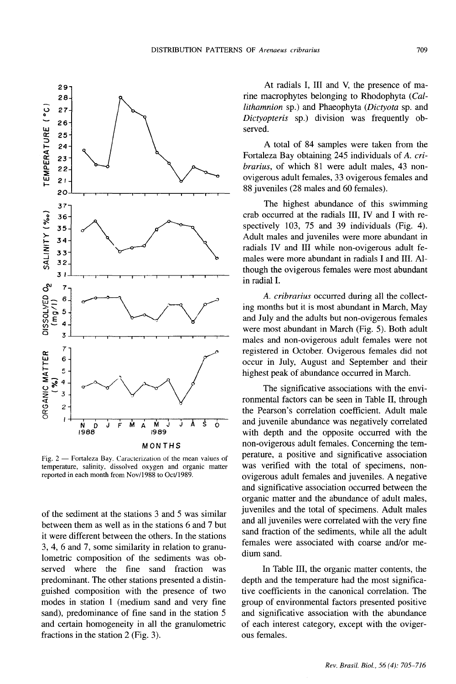

Fig. 2 - Fortaleza Bay. Caracterization of the mean values of temperature, salinity, dissolved oxygen and organic matter reported in each month from Nov/l988 to Oct/1989.

of the sediment at the stations 3 and 5 was similar between them as well as in the stations 6 and 7 but it were different between the others. In the stations 3, 4, 6 and 7, some similarity in relation to granulometric composition of the sediments was observed where the fine sand fraction was predominant. The other stations presented a distinguished composition with the presence of two modes in station 1 (medium sand and very fine sand), predominance of fine sand in the station 5 and certain homogeneity in all the granulometric fractions in the station 2 (Fig. 3).

At radials I, III and V, the presence of marine macrophytes belonging to Rhodophyta *(Callithamnion* sp.) and Phaeophyta *(Dictyota* sp. and *Dictyopteris* sp.) division was frequently observed.

A total of 84 samples were taken from the Fortaleza Bay obtaining 245 individuals of *A. cribrarius,* of which 81 were adult males, 43 nonovigerous adult females, 33 ovigerous females and 88 juveniles (28 males and 60 females).

The highest abundance of this swimming crab occurred at the radials III, IV and I with respectively 103, 75 and 39 individuals (Fig. 4). Adult males and juveniles were more abundant in radials IV and III while non-ovigerous adult females were more abundant in radials I and III. Although the ovigerous females were most abundant in radial I.

*A. cribrarius* occurred during all the collecting months but it is most abundant in March, May and July and the adults but non-ovigerous females were most abundant in March (Fig. 5). Both adult males and non-ovigerous adult females were not registered in October. Ovigerous females did not occur in July, August and September and their highest peak of abundance occurred in March.

The significative associations with the environmental factors can be seen in Table II, through the Pearson's correlation coefficient. Adult male and juvenile abundance was negatively correlated with depth and the opposite occurred with the non-ovigerous adult females. Concerning the temperature, a positive and significative association was verified with the total of specimens, nonovigerous adult females and juveniles. A negative and significative association occurred between the organic matter and the abundance of adult males, juveniles and the total of specimens. Adult males and all juveniles were correlated with the very fine sand fraction of the sediments, while all the adult females were associated with coarse and/or medium sand.

In Table III, the organic matter contents, the depth and the temperature had the most significative coefficients in the canonical correlation. The group of environmental factors presented positive and significative association with the abundance of each interest category, except with the ovigerous females.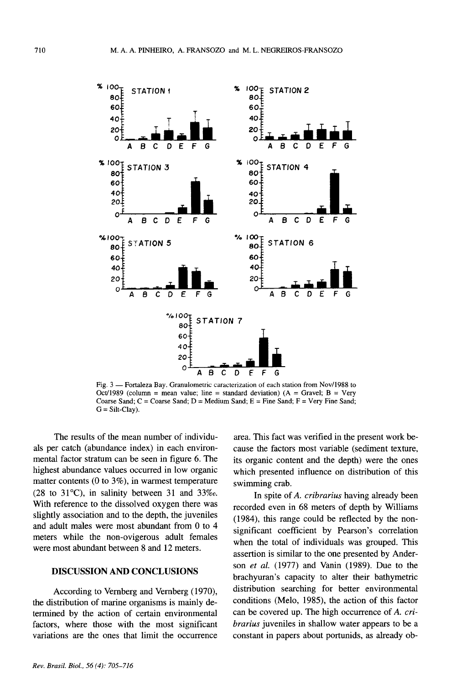

Fig. 3 — Fortaleza Bay. Granulometric caracterization of each station from Nov/1988 to Oct/1989 (column = mean value; line = standard deviation) ( $A =$  Gravel; B = Very Coarse Sand;  $C = \text{Coarse Sand}$ ;  $D = \text{Median Sand}$ ;  $E = \text{Fire Sand}$ ;  $F = \text{Very Fine Sand}$ ;  $G = Silt-Clay$ .

The results of the mean number of individuals per catch (abundance index) in each environmental factor stratum can be seen in figure 6. The highest abundance values occurred in low organic matter contents (0 to  $3\%$ ), in warmest temperature  $(28 \text{ to } 31^{\circ}\text{C})$ , in salinity between 31 and 33\%. With reference to the dissolved oxygen there was slightly association and to the depth, the juveniles and adult males were most abundant from 0 to 4 meters while the non-ovigerous adult females were most abundant between 8 and 12 meters.

#### **DISCUSSION AND CONCLUSIONS**

According to Vernberg and Vernberg (1970), the distribution of marine organisms is mainly determined by the action of certain environmental factors, where those with the most significant variations are the ones that limit the occurrence area. This fact was verified in the present work because the factors most variable (sediment texture, its organic content and the depth) were the ones which presented influence on distribution of this swimming crab.

In spite of A. cribrarius having already been recorded even in 68 meters of depth by Williams (1984), this range could be reflected by the nonsignificant coefficient by Pearson's correlation when the total of individuals was grouped. This assertion is similar to the one presented by Anderson et al. (1977) and Vanin (1989). Due to the brachyuran's capacity to alter their bathymetric distribution searching for better environmental conditions (Melo, 1985), the action of this factor can be covered up. The high occurrence of A. cri*brarius* juveniles in shallow water appears to be a constant in papers about portunids, as already ob-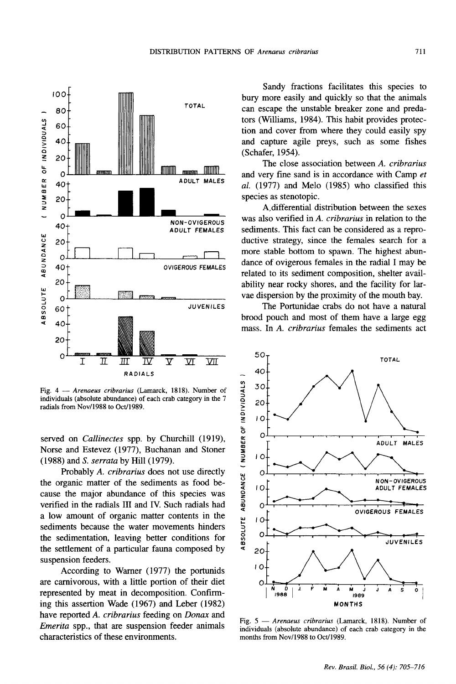

Fig. 4 - Arenaeus cribrarius (Lamarck, 1818). Number of individuals (absolute abundance) of each crab category in the 7 radials from Nov/1988 to Oct/1989.

served on Callinectes spp. by Churchill (1919), Norse and Estevez (1977), Buchanan and Stoner (1988) and S. serrata by Hill (1979).

Probably A. cribrarius does not use directly the organic matter of the sediments as food because the major abundance of this species was verified in the radials III and IV. Such radials had a low amount of organic matter contents in the sediments because the water movements hinders the sedimentation, leaving better conditions for the settlement of a particular fauna composed by suspension feeders.

According to Warner (1977) the portunids are carnivorous, with a little portion of their diet represented by meat in decomposition. Confirming this assertion Wade (1967) and Leber (1982) have reported A. cribrarius feeding on Donax and *Emerita* spp., that are suspension feeder animals characteristics of these environments.

Sandy fractions facilitates this species to bury more easily and quickly so that the animals can escape the unstable breaker zone and predators (Williams, 1984). This habit provides protection and cover from where they could easily spy and capture agile preys, such as some fishes (Schafer, 1954).

The close association between A. cribrarius and very fine sand is in accordance with Camp et al. (1977) and Melo (1985) who classified this species as stenotopic.

A differential distribution between the sexes was also verified in A. cribrarius in relation to the sediments. This fact can be considered as a reproductive strategy, since the females search for a more stable bottom to spawn. The highest abundance of ovigerous females in the radial I may be related to its sediment composition, shelter availability near rocky shores, and the facility for larvae dispersion by the proximity of the mouth bay.

The Portunidae crabs do not have a natural brood pouch and most of them have a large egg mass. In A. cribrarius females the sediments act



Fig. 5 - Arenaeus cribrarius (Lamarck, 1818). Number of individuals (absolute abundance) of each crab category in the months from Nov/1988 to Oct/1989.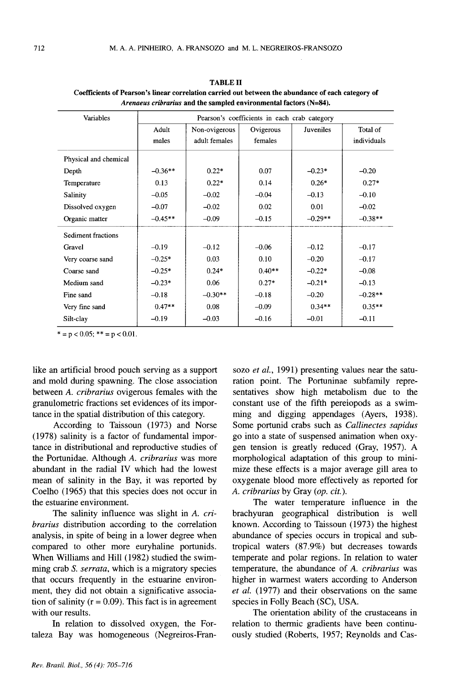| Variables             | Pearson's coefficients in each crab category |               |           |                  |             |  |
|-----------------------|----------------------------------------------|---------------|-----------|------------------|-------------|--|
|                       | Adult                                        | Non-ovigerous | Ovigerous | <b>Juveniles</b> | Total of    |  |
|                       | males                                        | adult females | females   |                  | individuals |  |
| Physical and chemical |                                              |               |           |                  |             |  |
| Depth                 | $-0.36**$                                    | $0.22*$       | 0.07      | $-0.23*$         | $-0.20$     |  |
| Temperature           | 0.13                                         | $0.22*$       | 0.14      | $0.26*$          | $0.27*$     |  |
| Salinity              | $-0.05$                                      | $-0.02$       | $-0.04$   | $-0.13$          | $-0.10$     |  |
| Dissolved oxygen      | $-0.07$                                      | $-0.02$       | 0.02      | 0.01             | $-0.02$     |  |
| Organic matter        | $-0.45**$                                    | $-0.09$       | $-0.15$   | $-0.29**$        | $-0.38**$   |  |
| Sediment fractions    |                                              |               |           |                  |             |  |
| Gravel                | $-0.19$                                      | $-0.12$       | $-0.06$   | $-0.12$          | $-0.17$     |  |
| Very coarse sand      | $-0.25*$                                     | 0.03          | 0.10      | $-0.20$          | $-0.17$     |  |
| Coarse sand           | $-0.25*$                                     | $0.24*$       | $0.40**$  | $-0.22*$         | $-0.08$     |  |
| Medium sand           | $-0.23*$                                     | 0.06          | $0.27*$   | $-0.21*$         | $-0.13$     |  |
| Fine sand             | $-0.18$                                      | $-0.30**$     | $-0.18$   | $-0.20$          | $-0.28**$   |  |
| Very fine sand        | $0.47**$                                     | 0.08          | $-0.09$   | $0.34**$         | $0.35**$    |  |
| Silt-clay             | $-0.19$                                      | $-0.03$       | $-0.16$   | $-0.01$          | $-0.11$     |  |

TABLE II Coefficients of Pearson's linear correlation carried out between the abundance of each category of *Arenaeus cribrarius* and the sampled environmental factors (N=84).

 $* = p < 0.05$ ;  $** = p < 0.01$ .

like an artificial brood pouch serving as a support and mold during spawning. The close association between A. *cribrarius* ovigerous females with the granulometric fractions set evidences of its importance in the spatial distribution of this category.

According to Taissoun (1973) and Norse (1978) salinity is a factor of fundamental importance in distributional and reproductive studies of the Portunidae. Although *A. cribrarius* was more abundant in the radial IV which had the lowest mean of salinity in the Bay, it was reported by Coelho (1965) that this species does not occur in the estuarine environment.

The salinity influence was slight in *A. cribrarius* distribution according to the correlation analysis, in spite of being in a lower degree when compared to other more euryhaline portunids. When Williams and Hill (1982) studied the swimming crab S. *serrata,* which is a migratory species that occurs frequently in the estuarine environment, they did not obtain a significative association of salinity ( $r = 0.09$ ). This fact is in agreement with our results.

In relation to dissolved oxygen, the Fortaleza Bay was homogeneous (Negreiros-Fransozo *et ai.,* 1991) presenting values near the saturation point. The Portuninae subfamily representatives show high metabolism due to the constant use of the fifth pereiopods as a swimming and digging appendages (Ayers, 1938). Some portunid crabs such as *Callinectes sapidus* go into a state of suspensed animation when oxygen tension is greatly reduced (Gray, 1957). A morphological adaptation of this group to minimize these effects is a major average gill area to oxygenate blood more effectively as reported for *A. cribrarius* by Gray *(op. cit.).*

The water temperature influence in the brachyuran geographical distribution is well known. According to Taissoun (1973) the highest abundance of species occurs in tropical and subtropical waters (87.9%) but decreases towards temperate and polar regions. In relation to water temperature, the abundance of *A. cribrarius* was higher in warmest waters according to Anderson *et ai.* (1977) and their observations on the same species in Folly Beach (SC), USA.

The orientation ability of the crustaceans in relation to thermic gradients have been continuously studied (Roberts, 1957; Reynolds and Cas-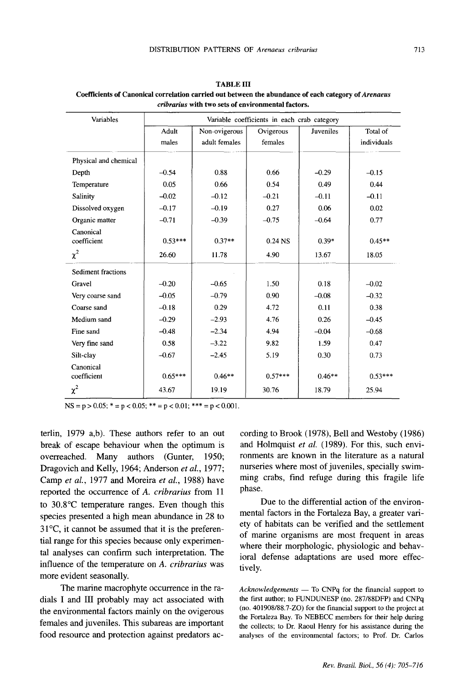| Variables                | Variable coefficients in each crab category |               |                    |                  |             |  |
|--------------------------|---------------------------------------------|---------------|--------------------|------------------|-------------|--|
|                          | Adult                                       | Non-ovigerous | Ovigerous          | <b>Juveniles</b> | Total of    |  |
|                          | males                                       | adult females | females            |                  | individuals |  |
| Physical and chemical    |                                             |               |                    |                  |             |  |
| Depth                    | $-0.54$                                     | 0.88          | 0.66               | $-0.29$          | $-0.15$     |  |
| Temperature              | 0.05                                        | 0.66          | 0.54               | 0.49             | 0.44        |  |
| Salinity                 | $-0.02$                                     | $-0.12$       | $-0.21$            | $-0.11$          | $-0.11$     |  |
| Dissolved oxygen         | $-0.17$                                     | $-0.19$       | 0.27               | 0.06             | 0.02        |  |
| Organic matter           | $-0.71$                                     | $-0.39$       | $-0.75$            | $-0.64$          | 0.77        |  |
| Canonical<br>coefficient | $0.53***$                                   | $0.37**$      | 0.24 <sub>NS</sub> | $0.39*$          | $0.45**$    |  |
| $\chi^2$                 | 26.60                                       | 11.78         | 4.90               | 13.67            | 18.05       |  |
| Sediment fractions       |                                             |               |                    |                  |             |  |
| Gravel                   | $-0.20$                                     | $-0.65$       | 1.50               | 0.18             | $-0.02$     |  |
| Very coarse sand         | $-0.05$                                     | $-0.79$       | 0.90               | $-0.08$          | $-0.32$     |  |
| Coarse sand              | $-0.18$                                     | 0.29          | 4.72               | 0.11             | 0.38        |  |
| Medium sand              | $-0.29$                                     | $-2.93$       | 4.76               | 0.26             | $-0.45$     |  |
| Fine sand                | $-0.48$                                     | $-2.34$       | 4.94               | $-0.04$          | $-0.68$     |  |
| Very fine sand           | 0.58                                        | $-3.22$       | 9.82               | 1.59             | 0.47        |  |
| Silt-clay                | $-0.67$                                     | $-2.45$       | 5.19               | 0.30             | 0.73        |  |
| Canonical<br>coefficient | $0.65***$                                   | $0.46**$      | $0.57***$          | $0.46**$         | $0.53***$   |  |
| $\chi^2$                 | 43.67                                       | 19.19         | 30.76              | 18.79            | 25.94       |  |

TABLE III Coefficients of Canonical correlation carried out between the abundance of each category of*Arenaeus cribrarius* with two sets of environmental factors.

 $NS = p > 0.05$ ;  $* = p < 0.05$ ;  $** = p < 0.01$ ;  $*** = p < 0.001$ .

terlin, 1979 a,b). These authors refer to an out break of escape behaviour when the optimum is overreached. Many authors (Gunter, 1950; Dragovich and Kelly, 1964; Anderson *et ai., 1977;* Camp *et ai.,* 1977 and Moreira *et ai.,* 1988) have reported the occurrence of *A. cribrarius* from 11 to 30.8°C temperature ranges. Even though this species presented a high mean abundance in 28 to 31°C, it cannot be assumed that it is the preferential range for this species because only experimental analyses can confirm such interpretation. The influence of the temperature on *A. cribrarius* was more evident seasonally.

The marine macrophyte occurrence in the radials I and III probably may act associated with the environmental factors mainly on the ovigerous females and juveniles. This subareas are important food resource and protection against predators ac-

cording to Brook (1978), Bell and Westoby (1986) and Holmquist *et ai.* (1989). For this, such environments are known in the literature as a natural nurseries where most of juveniles, specially swimming crabs, find refuge during this fragile life phase.

Due to the differential action of the environmental factors in the Fortaleza Bay, a greater variety of habitats can be verified and the settlement of marine organisms are most frequent in areas where their morphologic, physiologic and behavioral defense adaptations are used more effectively.

Acknowledgements - To CNPq for the financial support to the first author; to FUNDUNESP (no. 287/88DFP) and CNPq (no. 401908/88.7-Z0) for the financial support to the project at the Fortaleza Bay. To NEBECC members for their help during the collects; to Dr. Raoul Henry for his assistance during the analyses of the environmental factors; to Prof. Dr. Carlos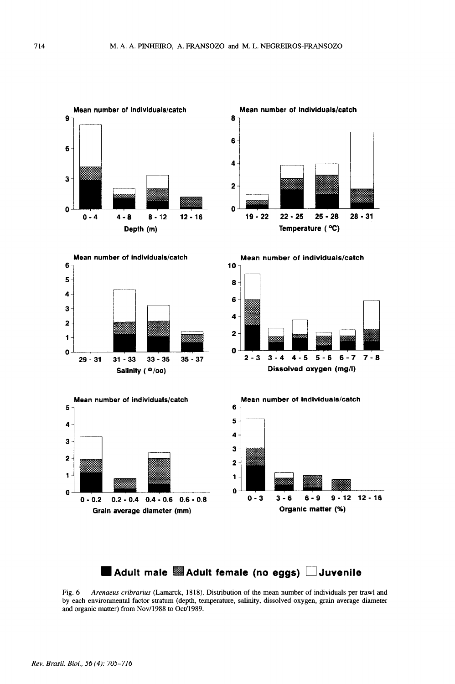

## **• Adult male mAdult female** (no **eggs) D Juvenile**

Fig. 6 - Arenaeus cribrarius (Lamarck, 1818). Distribution of the mean number of individuals per trawl and by each environmental factor stratum (depth, temperature, salinity, dissolved oxygen, grain average diameter and organic matter) from Nov/1988 to Oct/1989.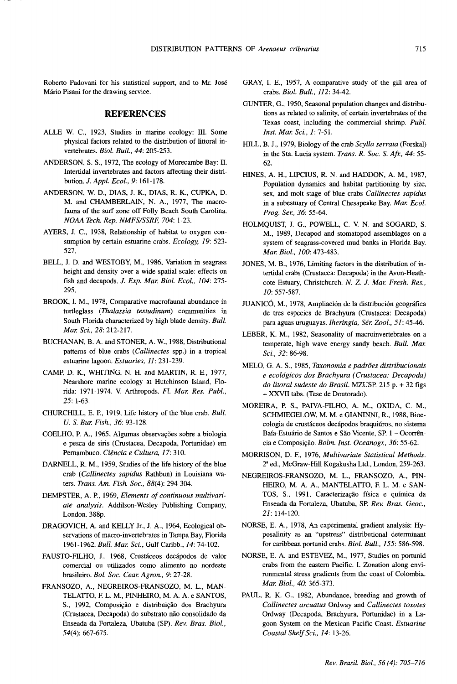Roberto Padovani for his statistical support, and to Mr. Jose Mário Pisani for the drawing service.

#### **REFERENCES**

- ALLE W. C., 1923, Studies in marine ecology: III. Some physical factors related to the distribution of littoral invertebrates. *Bioi. Bull.,* 44: 205-253.
- ANDERSON, S. S., 1972, The ecology of Morecambe Bay: II. Intertidal invertebrates and factors affecting their distribution. J. *Appl. Ecol.,* 9: 161-178.
- ANDERSON, W D., DIAS, J. K., DIAS, R. K., CUPKA, D. M. and CHAMBERLAIN, N. A, 1977, The macrofauna of the surf zone off Folly Beach South Carolina. *NOAA Tech. Rep. NMFSISSRF, 704: 1-23.*
- AYERS, J. C., 1938, Relationship of habitat to oxygen consumption by certain estuarine crabs. *Ecology,* 19: 523- 527.
- BELL, J. D. and WESTOBY, M., 1986, Variation in seagrass height and density over a wide spatial scale: effects on fish and decapods. J. *Exp. Mar. Bioi. Ecol., 104: 275-* 295.
- BROOK, I. M., 1978, Comparative macrofaunal abundance in turtleglass *(Thalassia testudinum)* communities in South Florida characterized by high blade density. *Bull. Mar. Sci.,* 28: 212-217.
- BUCHANAN, B. A and STONER, A. W, 1988, Distributional patterns of blue crabs *(Callinectes* spp.) in a tropical estuarine lagoon. *Estuaries, Il: 231-239.*
- CAMp, D. K., WHITING, N. H. and MARTIN, R. E., 1977, Nearshore marine ecology at Hutchinson Island, Florida: 1971-1974. V. Arthropods. *Fl. Mar. Res. Publ.,* 25: 1-63.
- CHURCHILL, E. P., 1919, Life history of the blue crab. *Bull. 0.* S. *Bur. Fish.,* 36: 93-128.
- COELHO, P. A., 1965, Algumas observações sobre a biologia e pesca de siris (Crustacea, Decapoda, Portunidae) em Pernambuco. *Ciencia e Cultura,* 17: 310.
- DARNELL, R. M., 1959, Studies of the life history of the blue crab *(Callinectes sapidus* Rathbun) in Louisiana waters. *Trans. Am Fish. Soc.,* 88(4): 294-304.
- DEMPSTER, A. P., 1969, *Elements of continuous multivariate analysis.* Addilson-Wesley Publishing Company, London. 388p.
- DRAGOVICH, A. and KELLY Jr., J. A., 1964, Ecological observations of macro-invertebrates in Tampa Bay, Florida *1961-1962. Bull. Mar. Sci.,* Gulf Caribb., 14: 74-102.
- FAUSTO-FILHO, J., 1968, Crustáceos decápodos de valor comercial ou utilizados como alimento no nordeste brasileiro. *Bol. Soc. Cear. Agron.,* 9: 27-28.
- FRANSOZO, A., NEGREIROS-FRANSOZO, M. L., MAN-TELATTO, F. L. M., PINHEIRO, M. A. A. e SANTOS, S., 1992, Composição e distribuição dos Brachyura (Crustacea, Decapoda) do substrato não consolidado da Enseada da Fortaleza, Ubatuba (SP). *Rev. Bras. BioI.,* 54(4): 667-675.
- GRAY, I. E., 1957, A comparative study of the gill area of crabs. *BioI. Bull., Il2: 34-42.*
- GUNTER, G., 1950, Seasonal population changes and distributions as related to salinity, of certain invertebrates of the Texas coast, including the commercial shrimp. *Publ. 1nst. Mar. Sci.,* 1: 7-51.
- HILL, B. J., 1979, Biology of the crab *Scylla serrata* (Forskal) in the Sta. Lucia system. *Trans. R. Soc.* S. *Afr.,* 44: 55- 62.
- HINES, A. H., LIPCIUS, R. N. and HADDON, A. M., 1987, Population dynamics and habitat partitioning by size, sex, and molt stage of blue crabs *Callinectes sapidus* in a subestuary of Central Chesapeake Bay. *Mar. Ecol. Prog. Ser.,* 36: 55-64.
- HOLMQUIST, 1. G., POWELL, C. V. N. and SOGARD, S. M., 1989, Decapod and stomatopod assemblages on a system of seagrass-covered mud banks in Florida Bay. *Mar. Bioi., 100: 473-483.*
- JONES, M. B., 1976, Limiting factors in the distribution of intertidal crabs (Crustacea: Decapoda) in the Avon-Heathcote Estuary, Christchurch. N. Z. J. *Mar. Fresh. Res., 10: 557-587.*
- JUANICÓ, M., 1978, Ampliación de la distribución geográfica de tres especies de Brachyura (Crustacea: Decapoda) para aguas *uruguayas.1heringia, Ser. Zool.,* 51: 45-46.
- LEBER, K. M., 1982, Seasonality of macroinvertebrates on a temperate, high wave energy sandy beach. *Bull. Mar. Sci.,* 32: 86-98.
- MELO, G. AS., 1985, *Taxonomia e padroes distribucionais e ecol6gicos dos Brachyura (Crustacea: Decapoda) do litoral sudeste do Brasil.* MZUSP. 215 p. + 32 figs + XXVII tabs. (Tese de Doutorado).
- MOREIRA, P. S., PAIVA-FILHO, A. M., OKIDA, C. M., SCHMIEGELOW, M. M. e GIANINNI, R., 1988, Bioecologia de crustáceos decápodos braquiúros, no sistema Baía-Estuário de Santos e São Vicente, SP. 1 - Ocorrência e Composi~ao. *Bolm. 1nst. Oceanogr.,* 36: 55-62.
- MORRISON, D. E, 1976, *Multivariate Statistical Methods.* 28 ed., McGraw-Hill Kogakusha Ltd., London, 259-263.
- NEGREIROS-FRANSOZO, M. L., FRANSOZO, A., PIN-HEIRO, M. A. A., MANTELATTO, F. L. M. e SAN-TOS, S., 1991, Caracterização física e química da Enseada da Fortaleza, Ubatuba, SP. *Rev. Bras. Geoc.,* 21: 114-120.
- NORSE, E. A, 1978, An experimental gradient analysis: Hyposalinity as an "upstress" distributional determinant for caribbean portunid crabs. *BioI. Bull.,* 155: 586-598.
- NORSE, E. A. and ESTEVEZ, M., 1977, Studies on portunid crabs from the eastern Pacific. I. Zonation along environmental stress gradients from the coast of Colombia. *Mar. Bioi., 40: 365-373.*
- PAUL, R. K. G., 1982, Abundance, breeding and growth of *Callinectes arcuatus* Ordway and *Callinectes toxotes* Ordway (Decapoda, Brachyura, Portunidae) in a Lagoon System on the Mexican Pacific Coast. *Estuarine Coastal Shelf Sci.,* 14: 13-26.